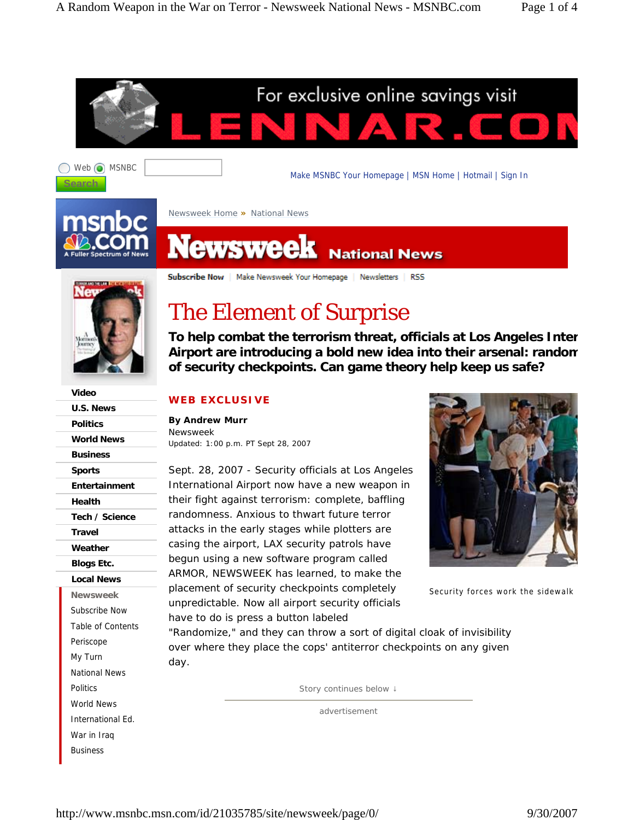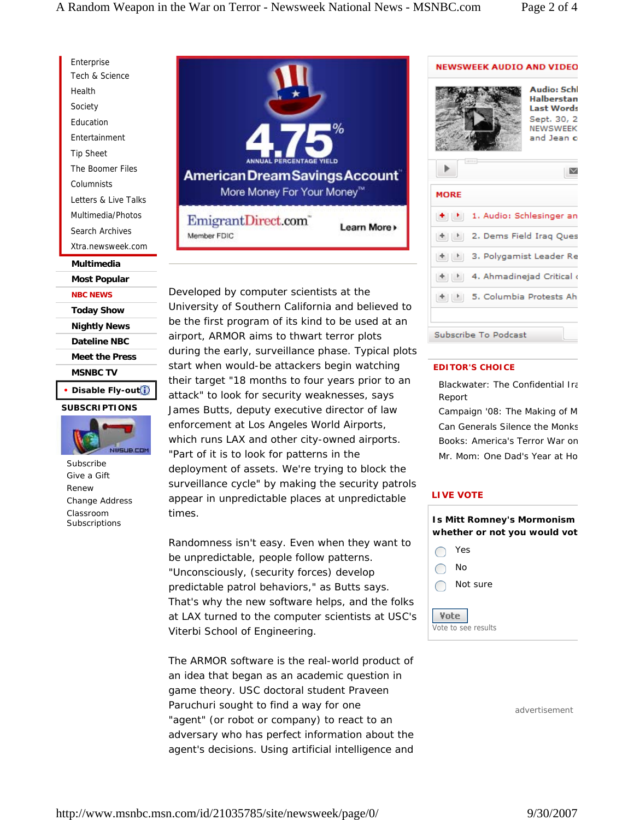Enterprise Tech & Science Health Society Education Entertainment Tip Sheet The Boomer Files Columnists Letters & Live Talks Multimedia/Photos Search Archives Xtra.newsweek.com

#### **Multimedia**

**Most Popular NBC NEWS**

**Today Show Nightly News Dateline NBC Meet the Press MSNBC TV**

# **• Disable Fly-out SUBSCRIPTIONS**



Subscribe Give a Gift Renew Change Address Classroom Subscriptions



Developed by computer scientists at the University of Southern California and believed to be the first program of its kind to be used at an airport, ARMOR aims to thwart terror plots during the early, surveillance phase. Typical plots start when would-be attackers begin watching their target "18 months to four years prior to an attack" to look for security weaknesses, says James Butts, deputy executive director of law enforcement at Los Angeles World Airports, which runs LAX and other city-owned airports. "Part of it is to look for patterns in the deployment of assets. We're trying to block the surveillance cycle" by making the security patrols appear in unpredictable places at unpredictable times.

Randomness isn't easy. Even when they want to be unpredictable, people follow patterns. "Unconsciously, (security forces) develop predictable patrol behaviors," as Butts says. That's why the new software helps, and the folks at LAX turned to the computer scientists at USC's Viterbi School of Engineering.

The ARMOR software is the real-world product of an idea that began as an academic question in game theory. USC doctoral student Praveen Paruchuri sought to find a way for one "agent" (or robot or company) to react to an adversary who has perfect information about the agent's decisions. Using artificial intelligence and

# **NEWSWEEK AUDIO AND VIDEO Audio: Schl** Halberstan **Last Words** Sept. 30, 2 NEWSWEEK and Jean o  $\triangleright$ **MORE** 1. Audio: Schlesinger an [+][1] 2. Dems Field Iraq Ques [±] [1] 3. Polygamist Leader Re [+][1] 4. Ahmadinejad Critical ( <sup>1</sup> 5. Columbia Protests Ah Subscribe To Podcast

### **EDITOR'S CHOICE**

Blackwater: The Confidential Ira Report

Campaign '08: The Making of M Can Generals Silence the Monks Books: America's Terror War on Mr. Mom: One Dad's Year at Ho

#### **LIVE VOTE**



advertisement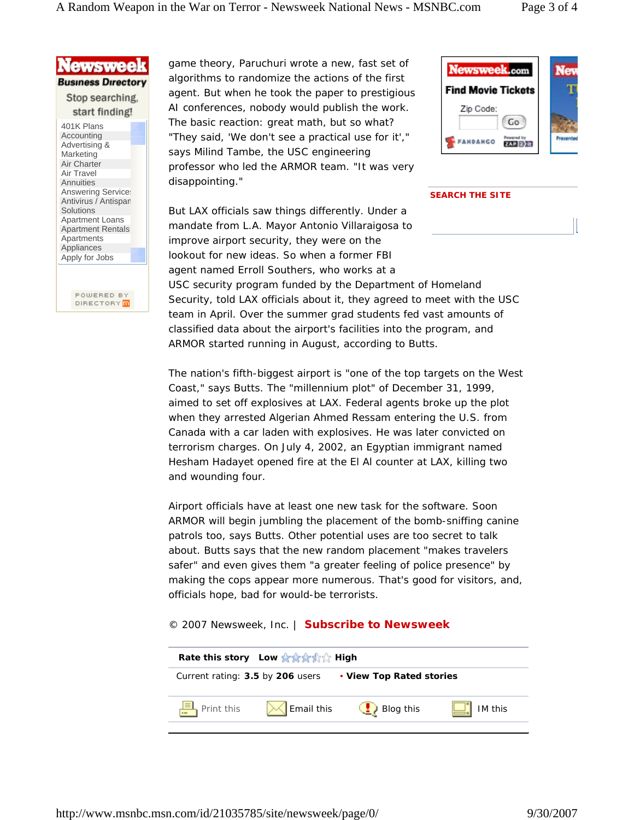

Antivirus / Antispam **Solutions** Apartment Loans Apartment Rentals Apartments Appliances Apply for Jobs

> POWERED BY DIRECTORY **m**

game theory, Paruchuri wrote a new, fast set of algorithms to randomize the actions of the first agent. But when he took the paper to prestigious AI conferences, nobody would publish the work. The basic reaction: great math, but so what? "They said, 'We don't see a practical use for it'," says Milind Tambe, the USC engineering professor who led the ARMOR team. "It was very disappointing."

But LAX officials saw things differently. Under a mandate from L.A. Mayor Antonio Villaraigosa to

improve airport security, they were on the



#### **SEARCH THE SITE**

lookout for new ideas. So when a former FBI agent named Erroll Southers, who works at a USC security program funded by the Department of Homeland Security, told LAX officials about it, they agreed to meet with the USC team in April. Over the summer grad students fed vast amounts of classified data about the airport's facilities into the program, and ARMOR started running in August, according to Butts.

The nation's fifth-biggest airport is "one of the top targets on the West Coast," says Butts. The "millennium plot" of December 31, 1999, aimed to set off explosives at LAX. Federal agents broke up the plot when they arrested Algerian Ahmed Ressam entering the U.S. from Canada with a car laden with explosives. He was later convicted on terrorism charges. On July 4, 2002, an Egyptian immigrant named Hesham Hadayet opened fire at the El Al counter at LAX, killing two and wounding four.

Airport officials have at least one new task for the software. Soon ARMOR will begin jumbling the placement of the bomb-sniffing canine patrols too, says Butts. Other potential uses are too secret to talk about. Butts says that the new random placement "makes travelers safer" and even gives them "a greater feeling of police presence" by making the cops appear more numerous. That's good for visitors, and, officials hope, bad for would-be terrorists.

## *© 2007 Newsweek, Inc. | Subscribe to Newsweek*